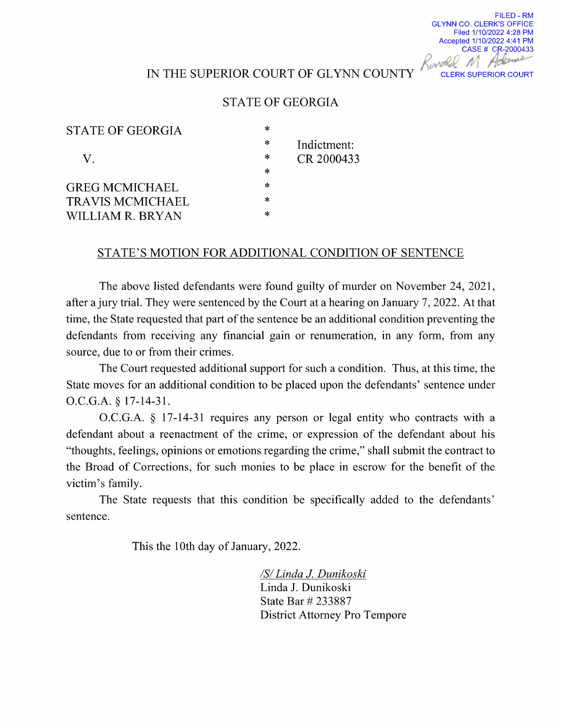## IN THE SUPERIOR COURT OF GLYNN COUNTY THE SUPERIOR COURT

FILED - RM

GLYNN CO. CLERK'S OFFICE Filed 1/10/2022 4:28 PM Accepted 1/10/2022 4:41 PM CASE # CR-2000433

## STATE OF GEORGIA

| STATE OF GEORGIA        | * |             |
|-------------------------|---|-------------|
|                         | * | Indictment: |
| V.                      | ∗ | CR 2000433  |
|                         | ∗ |             |
| <b>GREG MCMICHAEL</b>   | * |             |
| <b>TRAVIS MCMICHAEL</b> | * |             |
| WILLIAM R. BRYAN        | ∗ |             |

## STATE'S MOTION FOR ADDITIONAL CONDITION OF SENTENCE

The above listed defendants were found guilty of murder on November 24, 2021, after a jury trial. They were sentenced by the Court at a hearing on January 7, 2022. At that time, the State requested that part of the sentence be an additional condition preventing the defendants from receiving any financial gain or renumeration, in any form, from any source, due to or from their crimes.

The Court requested additional support for such a condition. Thus, at this time, the State moves for an additional condition to be placed upon the defendants' sentence under O.C.G.A. § 17-14-31.

 $O.C.G.A. § 17-14-31$  requires any person or legal entity who contracts with a defendant about a reenactment of the crime, or expression of the defendant about his "thoughts, feelings, opinions or emotions regarding the crime," shall submit the contract to the Broad of Corrections, for such monies to be place in escrow for the benefit of the victim's family.

The State requests that this condition be specifically added to the defendants' sentence.

This the 10th day of January, 2022.

/S/Linda J. Dunikoski Linda J. Dunikoski State Bar # 233887 District Attorney Pro Tempore